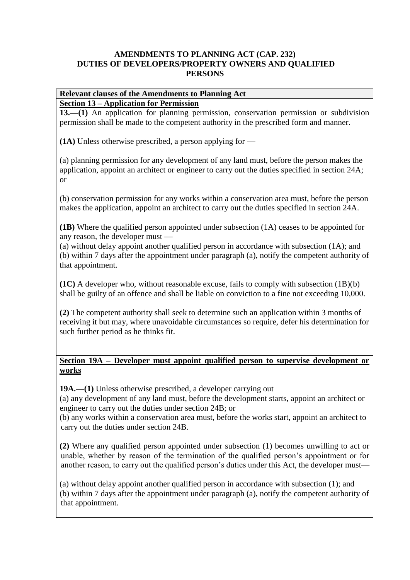# **Relevant clauses of the Amendments to Planning Act**

# **Section 13 – Application for Permission**

**13.—(1)** An application for planning permission, conservation permission or subdivision permission shall be made to the competent authority in the prescribed form and manner.

**(1A)** Unless otherwise prescribed, a person applying for —

(a) planning permission for any development of any land must, before the person makes the application, appoint an architect or engineer to carry out the duties specified in section 24A; or

(b) conservation permission for any works within a conservation area must, before the person makes the application, appoint an architect to carry out the duties specified in section 24A.

**(1B)** Where the qualified person appointed under subsection (1A) ceases to be appointed for any reason, the developer must —

(a) without delay appoint another qualified person in accordance with subsection (1A); and (b) within 7 days after the appointment under paragraph (a), notify the competent authority of that appointment.

**(1C)** A developer who, without reasonable excuse, fails to comply with subsection (1B)(b) shall be guilty of an offence and shall be liable on conviction to a fine not exceeding 10,000.

**(2)** The competent authority shall seek to determine such an application within 3 months of receiving it but may, where unavoidable circumstances so require, defer his determination for such further period as he thinks fit.

# **Section 19A – Developer must appoint qualified person to supervise development or works**

**19A.—(1)** Unless otherwise prescribed, a developer carrying out

(a) any development of any land must, before the development starts, appoint an architect or engineer to carry out the duties under section 24B; or

(b) any works within a conservation area must, before the works start, appoint an architect to carry out the duties under section 24B.

**(2)** Where any qualified person appointed under subsection (1) becomes unwilling to act or unable, whether by reason of the termination of the qualified person's appointment or for another reason, to carry out the qualified person's duties under this Act, the developer must—

(a) without delay appoint another qualified person in accordance with subsection (1); and (b) within 7 days after the appointment under paragraph (a), notify the competent authority of that appointment.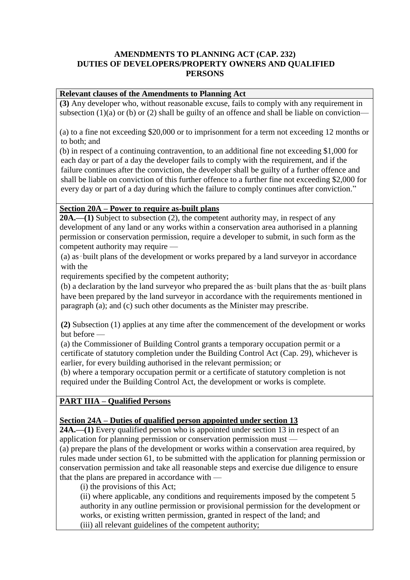# **Relevant clauses of the Amendments to Planning Act**

**(3)** Any developer who, without reasonable excuse, fails to comply with any requirement in subsection (1)(a) or (b) or (2) shall be guilty of an offence and shall be liable on conviction—

(a) to a fine not exceeding \$20,000 or to imprisonment for a term not exceeding 12 months or to both; and

(b) in respect of a continuing contravention, to an additional fine not exceeding \$1,000 for each day or part of a day the developer fails to comply with the requirement, and if the failure continues after the conviction, the developer shall be guilty of a further offence and shall be liable on conviction of this further offence to a further fine not exceeding \$2,000 for every day or part of a day during which the failure to comply continues after conviction."

# **Section 20A – Power to require as-built plans**

**20A.—(1)** Subject to subsection (2), the competent authority may, in respect of any development of any land or any works within a conservation area authorised in a planning permission or conservation permission, require a developer to submit, in such form as the competent authority may require —

(a) as‑built plans of the development or works prepared by a land surveyor in accordance with the

requirements specified by the competent authority;

(b) a declaration by the land surveyor who prepared the as‑built plans that the as‑built plans have been prepared by the land surveyor in accordance with the requirements mentioned in paragraph (a); and (c) such other documents as the Minister may prescribe.

**(2)** Subsection (1) applies at any time after the commencement of the development or works but before —

(a) the Commissioner of Building Control grants a temporary occupation permit or a certificate of statutory completion under the Building Control Act (Cap. 29), whichever is earlier, for every building authorised in the relevant permission; or

(b) where a temporary occupation permit or a certificate of statutory completion is not required under the Building Control Act, the development or works is complete.

# **PART IIIA – Qualified Persons**

### **Section 24A – Duties of qualified person appointed under section 13**

**24A.—(1)** Every qualified person who is appointed under section 13 in respect of an application for planning permission or conservation permission must —

(a) prepare the plans of the development or works within a conservation area required, by rules made under section 61, to be submitted with the application for planning permission or conservation permission and take all reasonable steps and exercise due diligence to ensure that the plans are prepared in accordance with —

(i) the provisions of this Act;

(ii) where applicable, any conditions and requirements imposed by the competent 5 authority in any outline permission or provisional permission for the development or works, or existing written permission, granted in respect of the land; and (iii) all relevant guidelines of the competent authority;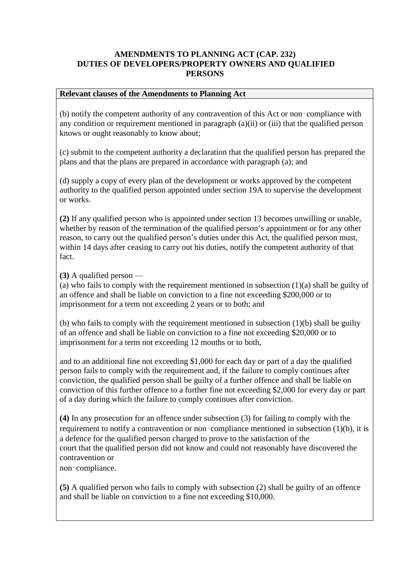#### **Relevant clauses of the Amendments to Planning Act**

(b) notify the competent authority of any contravention of this Act or non‑compliance with any condition or requirement mentioned in paragraph (a)(ii) or (iii) that the qualified person knows or ought reasonably to know about;

(c) submit to the competent authority a declaration that the qualified person has prepared the plans and that the plans are prepared in accordance with paragraph (a); and

(d) supply a copy of every plan of the development or works approved by the competent authority to the qualified person appointed under section 19A to supervise the development or works.

**(2)** If any qualified person who is appointed under section 13 becomes unwilling or unable, whether by reason of the termination of the qualified person's appointment or for any other reason, to carry out the qualified person's duties under this Act, the qualified person must, within 14 days after ceasing to carry out his duties, notify the competent authority of that fact.

**(3)** A qualified person —

(a) who fails to comply with the requirement mentioned in subsection (1)(a) shall be guilty of an offence and shall be liable on conviction to a fine not exceeding \$200,000 or to imprisonment for a term not exceeding 2 years or to both; and

(b) who fails to comply with the requirement mentioned in subsection (1)(b) shall be guilty of an offence and shall be liable on conviction to a fine not exceeding \$20,000 or to imprisonment for a term not exceeding 12 months or to both,

and to an additional fine not exceeding \$1,000 for each day or part of a day the qualified person fails to comply with the requirement and, if the failure to comply continues after conviction, the qualified person shall be guilty of a further offence and shall be liable on conviction of this further offence to a further fine not exceeding \$2,000 for every day or part of a day during which the failure to comply continues after conviction.

**(4)** In any prosecution for an offence under subsection (3) for failing to comply with the requirement to notify a contravention or non–compliance mentioned in subsection (1)(b), it is a defence for the qualified person charged to prove to the satisfaction of the court that the qualified person did not know and could not reasonably have discovered the contravention or

non‑compliance.

**(5)** A qualified person who fails to comply with subsection (2) shall be guilty of an offence and shall be liable on conviction to a fine not exceeding \$10,000.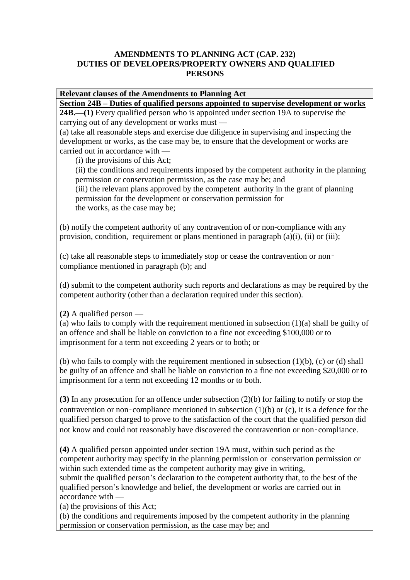# **Relevant clauses of the Amendments to Planning Act**

**Section 24B – Duties of qualified persons appointed to supervise development or works 24B.—(1)** Every qualified person who is appointed under section 19A to supervise the

carrying out of any development or works must —

(a) take all reasonable steps and exercise due diligence in supervising and inspecting the development or works, as the case may be, to ensure that the development or works are carried out in accordance with —

(i) the provisions of this Act;

(ii) the conditions and requirements imposed by the competent authority in the planning permission or conservation permission, as the case may be; and

(iii) the relevant plans approved by the competent authority in the grant of planning permission for the development or conservation permission for the works, as the case may be;

(b) notify the competent authority of any contravention of or non-compliance with any provision, condition, requirement or plans mentioned in paragraph (a)(i), (ii) or (iii);

(c) take all reasonable steps to immediately stop or cease the contravention or non‑ compliance mentioned in paragraph (b); and

(d) submit to the competent authority such reports and declarations as may be required by the competent authority (other than a declaration required under this section).

**(2)** A qualified person —

(a) who fails to comply with the requirement mentioned in subsection (1)(a) shall be guilty of an offence and shall be liable on conviction to a fine not exceeding \$100,000 or to imprisonment for a term not exceeding 2 years or to both; or

(b) who fails to comply with the requirement mentioned in subsection  $(1)(b)$ ,  $(c)$  or  $(d)$  shall be guilty of an offence and shall be liable on conviction to a fine not exceeding \$20,000 or to imprisonment for a term not exceeding 12 months or to both.

**(3)** In any prosecution for an offence under subsection (2)(b) for failing to notify or stop the contravention or non–compliance mentioned in subsection  $(1)(b)$  or  $(c)$ , it is a defence for the qualified person charged to prove to the satisfaction of the court that the qualified person did not know and could not reasonably have discovered the contravention or non‑compliance.

**(4)** A qualified person appointed under section 19A must, within such period as the competent authority may specify in the planning permission or conservation permission or within such extended time as the competent authority may give in writing, submit the qualified person's declaration to the competent authority that, to the best of the qualified person's knowledge and belief, the development or works are carried out in accordance with —

(a) the provisions of this Act;

(b) the conditions and requirements imposed by the competent authority in the planning permission or conservation permission, as the case may be; and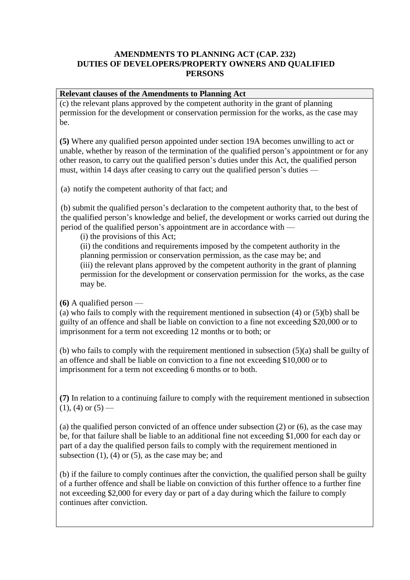### **Relevant clauses of the Amendments to Planning Act**

(c) the relevant plans approved by the competent authority in the grant of planning permission for the development or conservation permission for the works, as the case may be.

**(5)** Where any qualified person appointed under section 19A becomes unwilling to act or unable, whether by reason of the termination of the qualified person's appointment or for any other reason, to carry out the qualified person's duties under this Act, the qualified person must, within 14 days after ceasing to carry out the qualified person's duties —

(a) notify the competent authority of that fact; and

(b) submit the qualified person's declaration to the competent authority that, to the best of the qualified person's knowledge and belief, the development or works carried out during the period of the qualified person's appointment are in accordance with —

(i) the provisions of this Act;

(ii) the conditions and requirements imposed by the competent authority in the planning permission or conservation permission, as the case may be; and (iii) the relevant plans approved by the competent authority in the grant of planning permission for the development or conservation permission for the works, as the case may be.

**(6)** A qualified person —

(a) who fails to comply with the requirement mentioned in subsection (4) or (5)(b) shall be guilty of an offence and shall be liable on conviction to a fine not exceeding \$20,000 or to imprisonment for a term not exceeding 12 months or to both; or

(b) who fails to comply with the requirement mentioned in subsection (5)(a) shall be guilty of an offence and shall be liable on conviction to a fine not exceeding \$10,000 or to imprisonment for a term not exceeding 6 months or to both.

**(7)** In relation to a continuing failure to comply with the requirement mentioned in subsection  $(1)$ ,  $(4)$  or  $(5)$  —

(a) the qualified person convicted of an offence under subsection (2) or (6), as the case may be, for that failure shall be liable to an additional fine not exceeding \$1,000 for each day or part of a day the qualified person fails to comply with the requirement mentioned in subsection  $(1)$ ,  $(4)$  or  $(5)$ , as the case may be; and

(b) if the failure to comply continues after the conviction, the qualified person shall be guilty of a further offence and shall be liable on conviction of this further offence to a further fine not exceeding \$2,000 for every day or part of a day during which the failure to comply continues after conviction.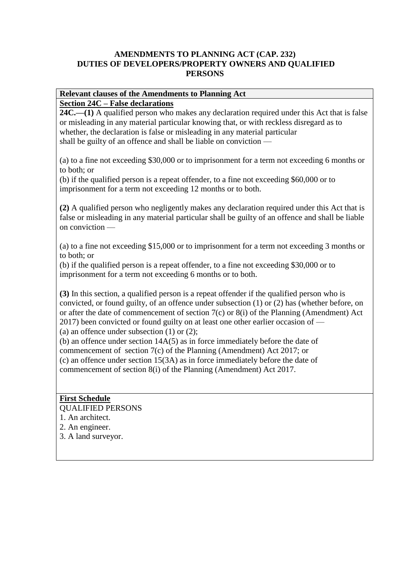#### **Relevant clauses of the Amendments to Planning Act Section 24C – False declarations**

**24C.—(1)** A qualified person who makes any declaration required under this Act that is false or misleading in any material particular knowing that, or with reckless disregard as to whether, the declaration is false or misleading in any material particular shall be guilty of an offence and shall be liable on conviction —

(a) to a fine not exceeding \$30,000 or to imprisonment for a term not exceeding 6 months or to both; or

(b) if the qualified person is a repeat offender, to a fine not exceeding \$60,000 or to imprisonment for a term not exceeding 12 months or to both.

**(2)** A qualified person who negligently makes any declaration required under this Act that is false or misleading in any material particular shall be guilty of an offence and shall be liable on conviction —

(a) to a fine not exceeding \$15,000 or to imprisonment for a term not exceeding 3 months or to both; or

(b) if the qualified person is a repeat offender, to a fine not exceeding \$30,000 or to imprisonment for a term not exceeding 6 months or to both.

**(3)** In this section, a qualified person is a repeat offender if the qualified person who is convicted, or found guilty, of an offence under subsection (1) or (2) has (whether before, on or after the date of commencement of section 7(c) or 8(i) of the Planning (Amendment) Act 2017) been convicted or found guilty on at least one other earlier occasion of — (a) an offence under subsection (1) or (2);

(b) an offence under section 14A(5) as in force immediately before the date of commencement of section 7(c) of the Planning (Amendment) Act 2017; or (c) an offence under section 15(3A) as in force immediately before the date of commencement of section 8(i) of the Planning (Amendment) Act 2017.

### **First Schedule** QUALIFIED PERSONS

1. An architect.

2. An engineer.

3. A land surveyor.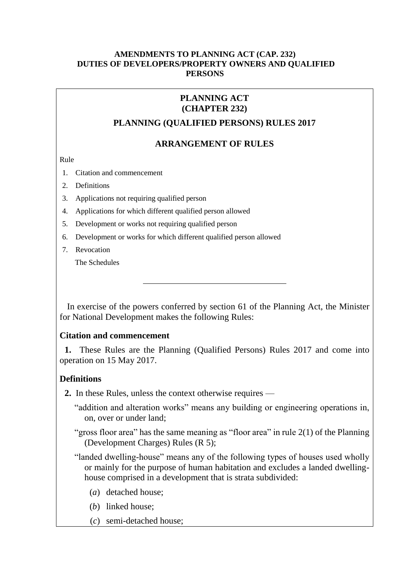# **PLANNING ACT (CHAPTER 232)**

### **PLANNING (QUALIFIED PERSONS) RULES 2017**

### **ARRANGEMENT OF RULES**

Rule

- 1. [Citation and commencement](#page-6-0)
- 2. [Definitions](#page-6-1)
- 3. [Applications not requiring qualified person](#page-7-0)
- 4. [Applications for which different qualified person allowed](#page-7-1)
- 5. [Development or works not requiring qualified person](#page-7-2)
- 6. [Development or works for which different qualified person allowed](#page-7-3)
- 7. [Revocation](#page-7-4)

[The Schedules](#page-8-0)

In exercise of the powers conferred by section 61 of the Planning Act, the Minister for National Development makes the following Rules:

### <span id="page-6-0"></span>**Citation and commencement**

**1.** These Rules are the Planning (Qualified Persons) Rules 2017 and come into operation on 15 May 2017.

# <span id="page-6-1"></span>**Definitions**

**2.** In these Rules, unless the context otherwise requires —

"addition and alteration works" means any building or engineering operations in, on, over or under land;

"gross floor area" has the same meaning as "floor area" in rule 2(1) of the Planning (Development Charges) Rules (R 5);

"landed dwelling-house" means any of the following types of houses used wholly or mainly for the purpose of human habitation and excludes a landed dwellinghouse comprised in a development that is strata subdivided:

- (*a*) detached house;
- (*b*) linked house;
- (*c*) semi-detached house;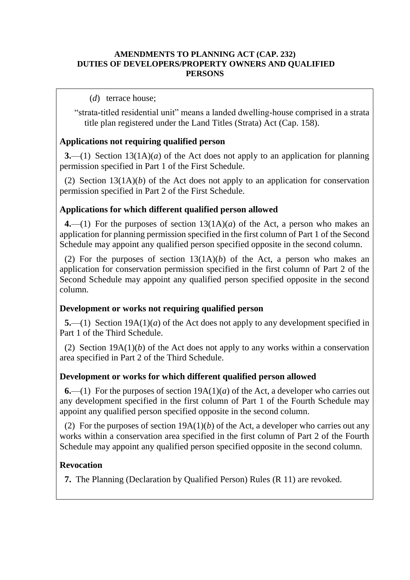### (*d*) terrace house;

"strata-titled residential unit" means a landed dwelling-house comprised in a strata title plan registered under the Land Titles (Strata) Act (Cap. 158).

# <span id="page-7-0"></span>**Applications not requiring qualified person**

**3.**—(1) Section 13(1A)(*a*) of the Act does not apply to an application for planning permission specified in Part 1 of the First Schedule.

(2) Section 13(1A)(*b*) of the Act does not apply to an application for conservation permission specified in Part 2 of the First Schedule.

# <span id="page-7-1"></span>**Applications for which different qualified person allowed**

**4.**—(1) For the purposes of section 13(1A)(*a*) of the Act, a person who makes an application for planning permission specified in the first column of Part 1 of the Second Schedule may appoint any qualified person specified opposite in the second column.

(2) For the purposes of section  $13(1A)(b)$  of the Act, a person who makes an application for conservation permission specified in the first column of Part 2 of the Second Schedule may appoint any qualified person specified opposite in the second column.

# <span id="page-7-2"></span>**Development or works not requiring qualified person**

**5.**—(1) Section 19A(1)(*a*) of the Act does not apply to any development specified in Part 1 of the Third Schedule.

(2) Section 19A(1)(*b*) of the Act does not apply to any works within a conservation area specified in Part 2 of the Third Schedule.

# <span id="page-7-3"></span>**Development or works for which different qualified person allowed**

**6.**—(1) For the purposes of section 19A(1)(*a*) of the Act, a developer who carries out any development specified in the first column of Part 1 of the Fourth Schedule may appoint any qualified person specified opposite in the second column.

(2) For the purposes of section  $19A(1)(b)$  of the Act, a developer who carries out any works within a conservation area specified in the first column of Part 2 of the Fourth Schedule may appoint any qualified person specified opposite in the second column.

# <span id="page-7-4"></span>**Revocation**

**7.** The Planning (Declaration by Qualified Person) Rules (R 11) are revoked.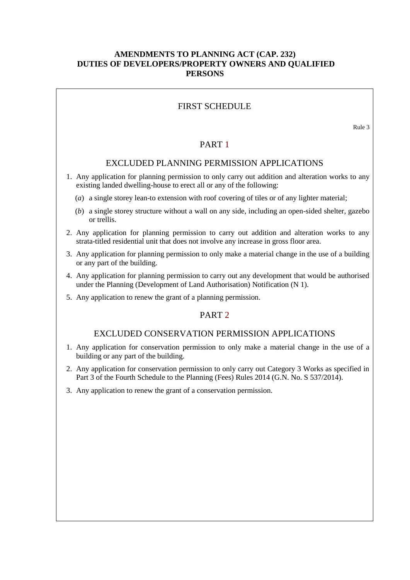### FIRST SCHEDULE

Rule 3

#### PART 1

### EXCLUDED PLANNING PERMISSION APPLICATIONS

- 1. Any application for planning permission to only carry out addition and alteration works to any existing landed dwelling-house to erect all or any of the following:
	- (*a*) a single storey lean-to extension with roof covering of tiles or of any lighter material;
	- (*b*) a single storey structure without a wall on any side, including an open-sided shelter, gazebo or trellis.
- 2. Any application for planning permission to carry out addition and alteration works to any strata-titled residential unit that does not involve any increase in gross floor area.
- 3. Any application for planning permission to only make a material change in the use of a building or any part of the building.
- 4. Any application for planning permission to carry out any development that would be authorised under the Planning (Development of Land Authorisation) Notification (N 1).
- 5. Any application to renew the grant of a planning permission.

### PART<sub>2</sub>

#### EXCLUDED CONSERVATION PERMISSION APPLICATIONS

- 1. Any application for conservation permission to only make a material change in the use of a building or any part of the building.
- 2. Any application for conservation permission to only carry out Category 3 Works as specified in Part 3 of the Fourth Schedule to the Planning (Fees) Rules 2014 (G.N. No. S 537/2014).
- <span id="page-8-0"></span>3. Any application to renew the grant of a conservation permission.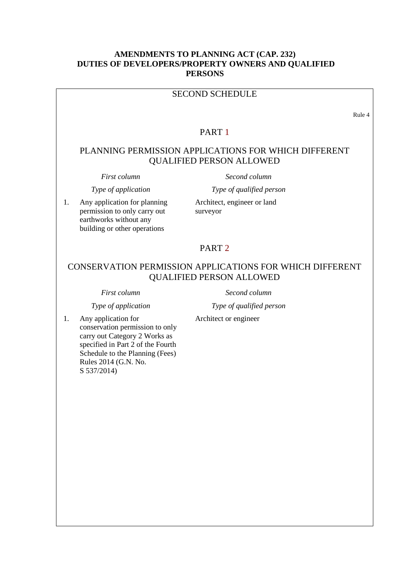### SECOND SCHEDULE

Rule 4

#### PART 1

# PLANNING PERMISSION APPLICATIONS FOR WHICH DIFFERENT QUALIFIED PERSON ALLOWED

1. Any application for planning permission to only carry out earthworks without any building or other operations

*First column Second column*

*Type of application Type of qualified person*

Architect, engineer or land surveyor

#### PART 2

# CONSERVATION PERMISSION APPLICATIONS FOR WHICH DIFFERENT QUALIFIED PERSON ALLOWED

*First column Second column*

*Type of application Type of qualified person*

Architect or engineer

1. Any application for conservation permission to only carry out Category 2 Works as specified in Part 2 of the Fourth Schedule to the Planning (Fees) Rules 2014 (G.N. No. S 537/2014)